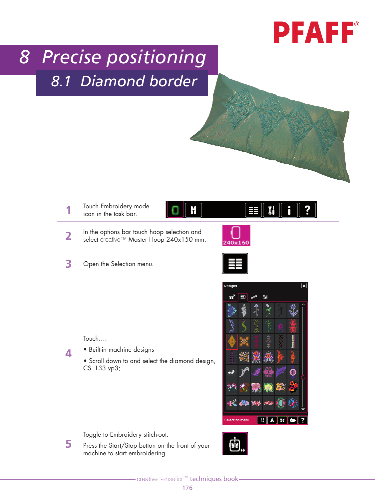## **PFAFF**®

## *8 Precise positioning 8.1 Diamond border*



**3** Open the Selection menu.



Touch….

**4**

**5**

- Built-in machine designs
- Scroll down to and select the diamond design, CS\_133.vp3;



Toggle to Embroidery stitch-out.

Press the Start/Stop button on the front of your machine to start embroidering.

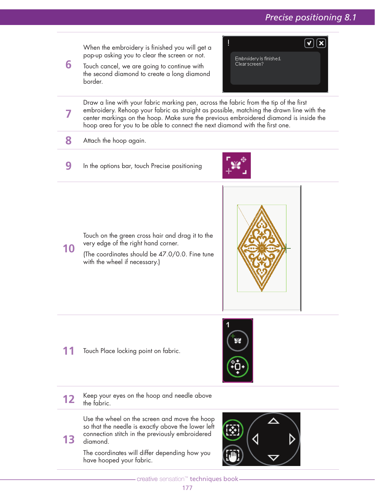

The coordinates will differ depending how you have hooped your fabric.